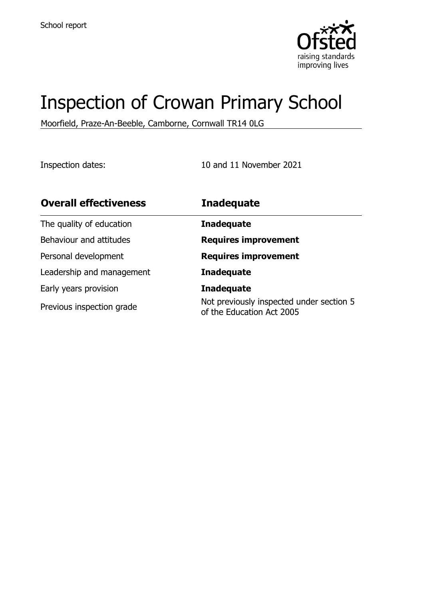

# Inspection of Crowan Primary School

Moorfield, Praze-An-Beeble, Camborne, Cornwall TR14 0LG

Inspection dates: 10 and 11 November 2021

| <b>Overall effectiveness</b> | <b>Inadequate</b>                                                     |
|------------------------------|-----------------------------------------------------------------------|
| The quality of education     | <b>Inadequate</b>                                                     |
| Behaviour and attitudes      | <b>Requires improvement</b>                                           |
| Personal development         | <b>Requires improvement</b>                                           |
| Leadership and management    | <b>Inadequate</b>                                                     |
| Early years provision        | <b>Inadequate</b>                                                     |
| Previous inspection grade    | Not previously inspected under section 5<br>of the Education Act 2005 |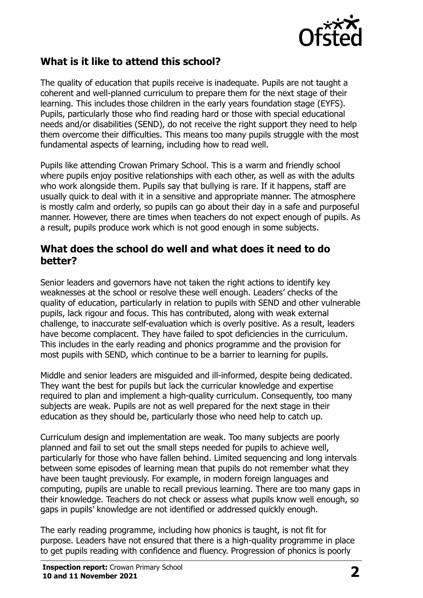

### **What is it like to attend this school?**

The quality of education that pupils receive is inadequate. Pupils are not taught a coherent and well-planned curriculum to prepare them for the next stage of their learning. This includes those children in the early years foundation stage (EYFS). Pupils, particularly those who find reading hard or those with special educational needs and/or disabilities (SEND), do not receive the right support they need to help them overcome their difficulties. This means too many pupils struggle with the most fundamental aspects of learning, including how to read well.

Pupils like attending Crowan Primary School. This is a warm and friendly school where pupils enjoy positive relationships with each other, as well as with the adults who work alongside them. Pupils say that bullying is rare. If it happens, staff are usually quick to deal with it in a sensitive and appropriate manner. The atmosphere is mostly calm and orderly, so pupils can go about their day in a safe and purposeful manner. However, there are times when teachers do not expect enough of pupils. As a result, pupils produce work which is not good enough in some subjects.

#### **What does the school do well and what does it need to do better?**

Senior leaders and governors have not taken the right actions to identify key weaknesses at the school or resolve these well enough. Leaders' checks of the quality of education, particularly in relation to pupils with SEND and other vulnerable pupils, lack rigour and focus. This has contributed, along with weak external challenge, to inaccurate self-evaluation which is overly positive. As a result, leaders have become complacent. They have failed to spot deficiencies in the curriculum. This includes in the early reading and phonics programme and the provision for most pupils with SEND, which continue to be a barrier to learning for pupils.

Middle and senior leaders are misguided and ill-informed, despite being dedicated. They want the best for pupils but lack the curricular knowledge and expertise required to plan and implement a high-quality curriculum. Consequently, too many subjects are weak. Pupils are not as well prepared for the next stage in their education as they should be, particularly those who need help to catch up.

Curriculum design and implementation are weak. Too many subjects are poorly planned and fail to set out the small steps needed for pupils to achieve well, particularly for those who have fallen behind. Limited sequencing and long intervals between some episodes of learning mean that pupils do not remember what they have been taught previously. For example, in modern foreign languages and computing, pupils are unable to recall previous learning. There are too many gaps in their knowledge. Teachers do not check or assess what pupils know well enough, so gaps in pupils' knowledge are not identified or addressed quickly enough.

The early reading programme, including how phonics is taught, is not fit for purpose. Leaders have not ensured that there is a high-quality programme in place to get pupils reading with confidence and fluency. Progression of phonics is poorly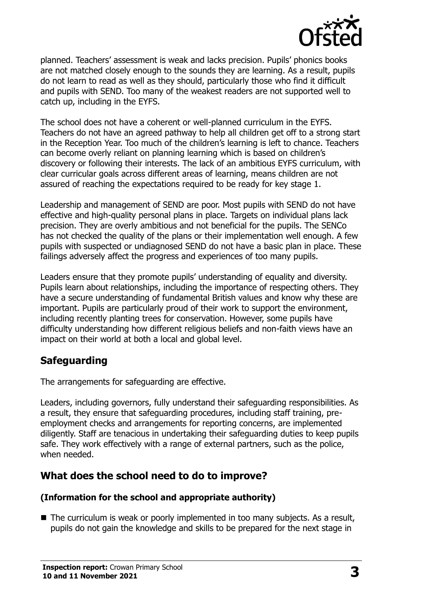

planned. Teachers' assessment is weak and lacks precision. Pupils' phonics books are not matched closely enough to the sounds they are learning. As a result, pupils do not learn to read as well as they should, particularly those who find it difficult and pupils with SEND. Too many of the weakest readers are not supported well to catch up, including in the EYFS.

The school does not have a coherent or well-planned curriculum in the EYFS. Teachers do not have an agreed pathway to help all children get off to a strong start in the Reception Year. Too much of the children's learning is left to chance. Teachers can become overly reliant on planning learning which is based on children's discovery or following their interests. The lack of an ambitious EYFS curriculum, with clear curricular goals across different areas of learning, means children are not assured of reaching the expectations required to be ready for key stage 1.

Leadership and management of SEND are poor. Most pupils with SEND do not have effective and high-quality personal plans in place. Targets on individual plans lack precision. They are overly ambitious and not beneficial for the pupils. The SENCo has not checked the quality of the plans or their implementation well enough. A few pupils with suspected or undiagnosed SEND do not have a basic plan in place. These failings adversely affect the progress and experiences of too many pupils.

Leaders ensure that they promote pupils' understanding of equality and diversity. Pupils learn about relationships, including the importance of respecting others. They have a secure understanding of fundamental British values and know why these are important. Pupils are particularly proud of their work to support the environment, including recently planting trees for conservation. However, some pupils have difficulty understanding how different religious beliefs and non-faith views have an impact on their world at both a local and global level.

### **Safeguarding**

The arrangements for safeguarding are effective.

Leaders, including governors, fully understand their safeguarding responsibilities. As a result, they ensure that safeguarding procedures, including staff training, preemployment checks and arrangements for reporting concerns, are implemented diligently. Staff are tenacious in undertaking their safeguarding duties to keep pupils safe. They work effectively with a range of external partners, such as the police, when needed.

### **What does the school need to do to improve?**

#### **(Information for the school and appropriate authority)**

■ The curriculum is weak or poorly implemented in too many subjects. As a result, pupils do not gain the knowledge and skills to be prepared for the next stage in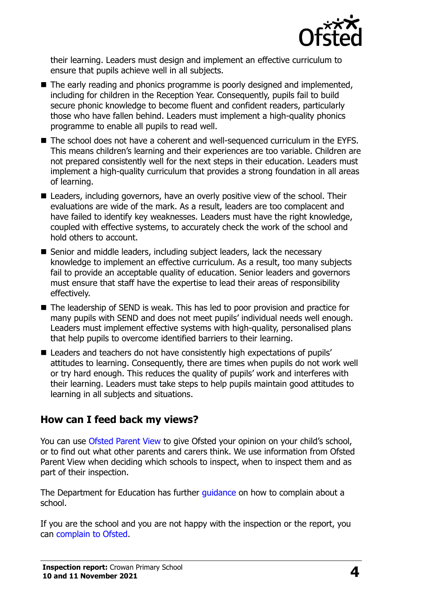

their learning. Leaders must design and implement an effective curriculum to ensure that pupils achieve well in all subjects.

- The early reading and phonics programme is poorly designed and implemented, including for children in the Reception Year. Consequently, pupils fail to build secure phonic knowledge to become fluent and confident readers, particularly those who have fallen behind. Leaders must implement a high-quality phonics programme to enable all pupils to read well.
- The school does not have a coherent and well-sequenced curriculum in the EYFS. This means children's learning and their experiences are too variable. Children are not prepared consistently well for the next steps in their education. Leaders must implement a high-quality curriculum that provides a strong foundation in all areas of learning.
- Leaders, including governors, have an overly positive view of the school. Their evaluations are wide of the mark. As a result, leaders are too complacent and have failed to identify key weaknesses. Leaders must have the right knowledge, coupled with effective systems, to accurately check the work of the school and hold others to account.
- Senior and middle leaders, including subject leaders, lack the necessary knowledge to implement an effective curriculum. As a result, too many subjects fail to provide an acceptable quality of education. Senior leaders and governors must ensure that staff have the expertise to lead their areas of responsibility effectively.
- The leadership of SEND is weak. This has led to poor provision and practice for many pupils with SEND and does not meet pupils' individual needs well enough. Leaders must implement effective systems with high-quality, personalised plans that help pupils to overcome identified barriers to their learning.
- Leaders and teachers do not have consistently high expectations of pupils' attitudes to learning. Consequently, there are times when pupils do not work well or try hard enough. This reduces the quality of pupils' work and interferes with their learning. Leaders must take steps to help pupils maintain good attitudes to learning in all subjects and situations.

#### **How can I feed back my views?**

You can use [Ofsted Parent View](http://parentview.ofsted.gov.uk/) to give Ofsted your opinion on your child's school, or to find out what other parents and carers think. We use information from Ofsted Parent View when deciding which schools to inspect, when to inspect them and as part of their inspection.

The Department for Education has further quidance on how to complain about a school.

If you are the school and you are not happy with the inspection or the report, you can [complain to Ofsted.](http://www.gov.uk/complain-ofsted-report)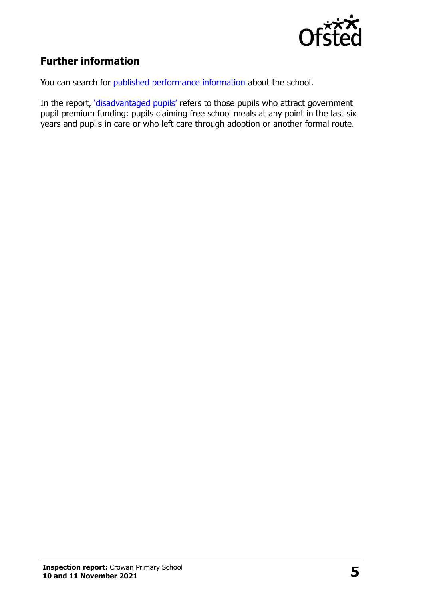

## **Further information**

You can search for [published performance information](http://www.compare-school-performance.service.gov.uk/) about the school.

In the report, '[disadvantaged pupils](http://www.gov.uk/guidance/pupil-premium-information-for-schools-and-alternative-provision-settings)' refers to those pupils who attract government pupil premium funding: pupils claiming free school meals at any point in the last six years and pupils in care or who left care through adoption or another formal route.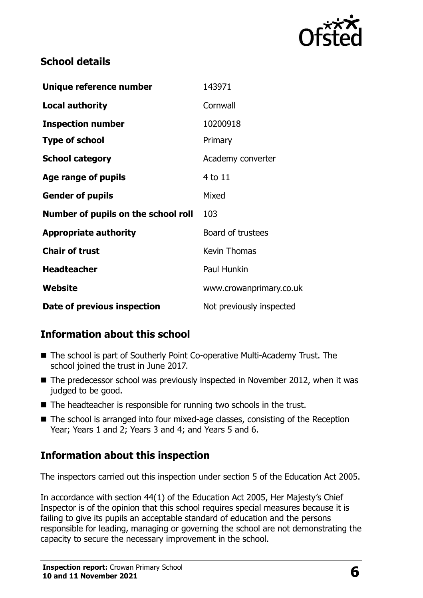

### **School details**

| Unique reference number             | 143971                   |
|-------------------------------------|--------------------------|
| <b>Local authority</b>              | Cornwall                 |
| <b>Inspection number</b>            | 10200918                 |
| <b>Type of school</b>               | Primary                  |
| <b>School category</b>              | Academy converter        |
| Age range of pupils                 | 4 to 11                  |
| <b>Gender of pupils</b>             | Mixed                    |
| Number of pupils on the school roll | 103                      |
| <b>Appropriate authority</b>        | Board of trustees        |
| <b>Chair of trust</b>               | <b>Kevin Thomas</b>      |
| <b>Headteacher</b>                  | Paul Hunkin              |
| Website                             | www.crowanprimary.co.uk  |
| Date of previous inspection         | Not previously inspected |

## **Information about this school**

- The school is part of Southerly Point Co-operative Multi-Academy Trust. The school joined the trust in June 2017.
- The predecessor school was previously inspected in November 2012, when it was judged to be good.
- The headteacher is responsible for running two schools in the trust.
- The school is arranged into four mixed-age classes, consisting of the Reception Year; Years 1 and 2; Years 3 and 4; and Years 5 and 6.

## **Information about this inspection**

The inspectors carried out this inspection under section 5 of the Education Act 2005.

In accordance with section 44(1) of the Education Act 2005, Her Majesty's Chief Inspector is of the opinion that this school requires special measures because it is failing to give its pupils an acceptable standard of education and the persons responsible for leading, managing or governing the school are not demonstrating the capacity to secure the necessary improvement in the school.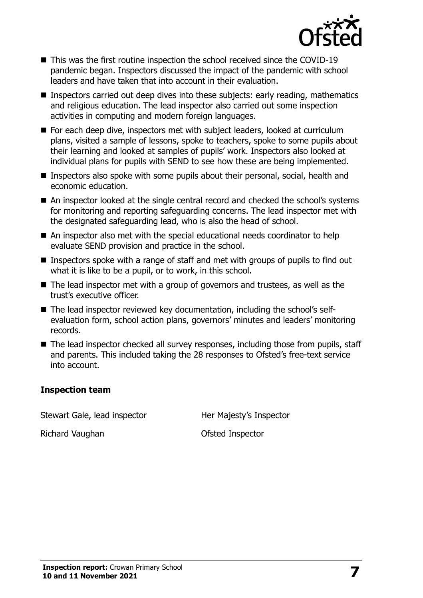

- This was the first routine inspection the school received since the COVID-19 pandemic began. Inspectors discussed the impact of the pandemic with school leaders and have taken that into account in their evaluation.
- Inspectors carried out deep dives into these subjects: early reading, mathematics and religious education. The lead inspector also carried out some inspection activities in computing and modern foreign languages.
- For each deep dive, inspectors met with subject leaders, looked at curriculum plans, visited a sample of lessons, spoke to teachers, spoke to some pupils about their learning and looked at samples of pupils' work. Inspectors also looked at individual plans for pupils with SEND to see how these are being implemented.
- Inspectors also spoke with some pupils about their personal, social, health and economic education.
- An inspector looked at the single central record and checked the school's systems for monitoring and reporting safeguarding concerns. The lead inspector met with the designated safeguarding lead, who is also the head of school.
- An inspector also met with the special educational needs coordinator to help evaluate SEND provision and practice in the school.
- Inspectors spoke with a range of staff and met with groups of pupils to find out what it is like to be a pupil, or to work, in this school.
- The lead inspector met with a group of governors and trustees, as well as the trust's executive officer.
- The lead inspector reviewed key documentation, including the school's selfevaluation form, school action plans, governors' minutes and leaders' monitoring records.
- The lead inspector checked all survey responses, including those from pupils, staff and parents. This included taking the 28 responses to Ofsted's free-text service into account.

#### **Inspection team**

Stewart Gale, lead inspector **Her Majesty's Inspector** 

Richard Vaughan **Calculation** Ofsted Inspector